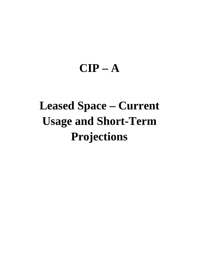## **CIP – A**

# **Leased Space – Current Usage and Short-Term Projections**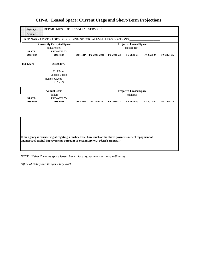| Agency:                       | DEPARTMENT OF FINANCIAL SERVICES                                                                              |        |                            |            |                                                |            |            |
|-------------------------------|---------------------------------------------------------------------------------------------------------------|--------|----------------------------|------------|------------------------------------------------|------------|------------|
| <b>Service:</b>               |                                                                                                               |        |                            |            |                                                |            |            |
|                               | LRPP NARRATIVE PAGES DESCRIBING SERVICE-LEVEL LEASE OPTIONS                                                   |        |                            |            |                                                |            |            |
| <b>STATE-</b>                 | <b>Currently Occupied Space</b><br>(square feet)<br>PRIVATELY-                                                |        |                            |            | <b>Projected Leased Space</b><br>(square feet) |            |            |
| <b>OWNED</b>                  | <b>OWNED</b>                                                                                                  |        | <b>OTHER*</b> FY 2020-2021 | FY 2021-22 | FY 2022-23                                     | FY 2023-24 | FY 2024-25 |
| 483,976.70                    | 293,068.72                                                                                                    |        |                            |            |                                                |            |            |
|                               | % of Total<br><b>Leased Space</b><br>Privately-Owned<br>37.72%                                                |        |                            |            |                                                |            |            |
|                               | <b>Annual Costs</b><br>(dollars)                                                                              |        |                            |            | <b>Projected Leased Space</b><br>(dollars)     |            |            |
| <b>STATE-</b><br><b>OWNED</b> | PRIVATELY-<br><b>OWNED</b>                                                                                    | OTHER* | FY 2020-21                 | FY 2021-22 | FY 2022-23                                     | FY 2023-24 | FY 2024-25 |
|                               |                                                                                                               |        |                            |            |                                                |            |            |
|                               | If the agency is considering abrogating a facility lease, how much of the above payments reflect repayment of |        |                            |            |                                                |            |            |
|                               | unamortized capital improvements pursuant to Section 216.043, Florida. Statutes .?                            |        |                            |            |                                                |            |            |

*NOTE: "Other\*" means space leased from a local government or non-profit entity.*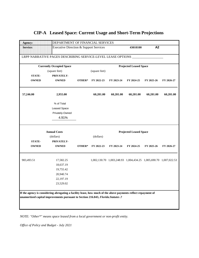|  | <b>CIP-A</b> Leased Space: Current Usage and Short-Term Projections |  |  |  |  |
|--|---------------------------------------------------------------------|--|--|--|--|
|--|---------------------------------------------------------------------|--|--|--|--|

| Agency:       | DEPARTMENT OF FINANCIAL SERVICES                                                                              |        |               |            |                               |                                                                  |            |
|---------------|---------------------------------------------------------------------------------------------------------------|--------|---------------|------------|-------------------------------|------------------------------------------------------------------|------------|
| Service:      | Executive Direction & Support Services                                                                        |        |               |            | 43010100                      | A2                                                               |            |
|               | LRPP NARRATIVE PAGES DESCRIBING SERVICE-LEVEL LEASE OPTIONS                                                   |        |               |            |                               |                                                                  |            |
|               | <b>Currently Occupied Space</b>                                                                               |        |               |            | <b>Projected Leased Space</b> |                                                                  |            |
|               | (square feet)                                                                                                 |        | (square feet) |            |                               |                                                                  |            |
| <b>STATE-</b> | PRIVATELY-                                                                                                    |        |               |            |                               |                                                                  |            |
| <b>OWNED</b>  | <b>OWNED</b>                                                                                                  | OTHER* | FY 2022-23    | FY 2023-24 | FY 2024-25                    | FY 2025-26                                                       | FY 2026-27 |
| 57,246.00     | 2,955.00                                                                                                      |        | 60,201.00     | 60,201.00  | 60,201.00                     | 60,201.00                                                        | 60,201.00  |
|               | % of Total                                                                                                    |        |               |            |                               |                                                                  |            |
|               | <b>Leased Space</b>                                                                                           |        |               |            |                               |                                                                  |            |
|               | Privately-Owned                                                                                               |        |               |            |                               |                                                                  |            |
|               | 4.91%                                                                                                         |        |               |            |                               |                                                                  |            |
|               | <b>Annual Costs</b>                                                                                           |        |               |            | <b>Projected Leased Space</b> |                                                                  |            |
|               | (dollars)                                                                                                     |        | (dollars)     |            |                               |                                                                  |            |
| <b>STATE-</b> | PRIVATELY-                                                                                                    |        |               |            |                               |                                                                  |            |
| <b>OWNED</b>  | <b>OWNED</b>                                                                                                  | OTHER* | FY 2022-23    | FY 2023-24 | FY 2024-25                    | FY 2025-26                                                       | FY 2026-27 |
| 983,493.51    | 17,582.25                                                                                                     |        |               |            |                               | 1,002,130.70 1,003,248.93 1,004,434.25 1,005,690.70 1,007,022.53 |            |
|               | 18,637.19                                                                                                     |        |               |            |                               |                                                                  |            |
|               | 19,755.42                                                                                                     |        |               |            |                               |                                                                  |            |
|               | 20,940.74                                                                                                     |        |               |            |                               |                                                                  |            |
|               | 22,197.19                                                                                                     |        |               |            |                               |                                                                  |            |
|               | 23,529.02                                                                                                     |        |               |            |                               |                                                                  |            |
|               |                                                                                                               |        |               |            |                               |                                                                  |            |
|               | If the agency is considering abrogating a facility lease, how much of the above payments reflect repayment of |        |               |            |                               |                                                                  |            |
|               | unamortized capital improvements pursuant to Section 216.043, Florida. Statutes .?                            |        |               |            |                               |                                                                  |            |
|               |                                                                                                               |        |               |            |                               |                                                                  |            |
|               |                                                                                                               |        |               |            |                               |                                                                  |            |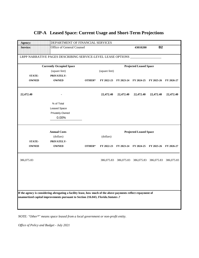| Agency:         | DEPARTMENT OF FINANCIAL SERVICES                                                                              |        |               |                                             |                               |                       |            |
|-----------------|---------------------------------------------------------------------------------------------------------------|--------|---------------|---------------------------------------------|-------------------------------|-----------------------|------------|
| <b>Service:</b> | Office of General Counsel                                                                                     |        |               |                                             | 43010200                      | <b>B2</b>             |            |
|                 |                                                                                                               |        |               |                                             |                               |                       |            |
|                 | LRPP NARRATIVE PAGES DESCRIBING SERVICE-LEVEL LEASE OPTIONS ___                                               |        |               |                                             |                               |                       |            |
|                 | <b>Currently Occupied Space</b>                                                                               |        |               |                                             | <b>Projected Leased Space</b> |                       |            |
|                 | (square feet)                                                                                                 |        | (square feet) |                                             |                               |                       |            |
| <b>STATE-</b>   | PRIVATELY-                                                                                                    |        |               |                                             |                               |                       |            |
| <b>OWNED</b>    | <b>OWNED</b>                                                                                                  | OTHER* | FY 2022-23    | FY 2023-24 FY 2024-25 FY 2025-26 FY 2026-27 |                               |                       |            |
| 22,472.40       |                                                                                                               |        | 22,472.40     | 22,472.40                                   | 22,472.40                     | 22,472.40             | 22,472.40  |
|                 | % of Total                                                                                                    |        |               |                                             |                               |                       |            |
|                 | <b>Leased Space</b>                                                                                           |        |               |                                             |                               |                       |            |
|                 | Privately-Owned                                                                                               |        |               |                                             |                               |                       |            |
|                 | 0.00%                                                                                                         |        |               |                                             |                               |                       |            |
|                 |                                                                                                               |        |               |                                             |                               |                       |            |
|                 | <b>Annual Costs</b>                                                                                           |        |               |                                             | <b>Projected Leased Space</b> |                       |            |
|                 | (dollars)                                                                                                     |        | (dollars)     |                                             |                               |                       |            |
|                 |                                                                                                               |        |               |                                             |                               |                       |            |
| <b>STATE-</b>   | PRIVATELY-                                                                                                    |        |               |                                             |                               |                       |            |
| <b>OWNED</b>    | <b>OWNED</b>                                                                                                  | OTHER* | FY 2022-23    | FY 2023-24                                  | FY 2024-25                    | FY 2025-26 FY 2026-27 |            |
| 386,075.83      |                                                                                                               |        |               | 386,075.83 386,075.83 386,075.83 386,075.83 |                               |                       | 386,075.83 |
|                 |                                                                                                               |        |               |                                             |                               |                       |            |
|                 |                                                                                                               |        |               |                                             |                               |                       |            |
|                 |                                                                                                               |        |               |                                             |                               |                       |            |
|                 | If the agency is considering abrogating a facility lease, how much of the above payments reflect repayment of |        |               |                                             |                               |                       |            |
|                 | unamortized capital improvements pursuant to Section 216.043, Florida. Statutes .?                            |        |               |                                             |                               |                       |            |
|                 |                                                                                                               |        |               |                                             |                               |                       |            |

*NOTE: "Other\*" means space leased from a local government or non-profit entity.*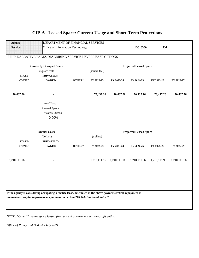| Agency:         | DEPARTMENT OF FINANCIAL SERVICES                                                                                                                                                                    |        |               |              |                               |                |              |
|-----------------|-----------------------------------------------------------------------------------------------------------------------------------------------------------------------------------------------------|--------|---------------|--------------|-------------------------------|----------------|--------------|
| <b>Service:</b> | Office of Information Technology                                                                                                                                                                    |        |               |              | 43010300                      | C <sub>4</sub> |              |
|                 | LRPP NARRATIVE PAGES DESCRIBING SERVICE-LEVEL LEASE OPTIONS ____                                                                                                                                    |        |               |              |                               |                |              |
|                 | <b>Currently Occupied Space</b>                                                                                                                                                                     |        |               |              | <b>Projected Leased Space</b> |                |              |
|                 | (square feet)                                                                                                                                                                                       |        | (square feet) |              |                               |                |              |
| <b>STATE-</b>   | PRIVATELY-                                                                                                                                                                                          |        |               |              |                               |                |              |
| <b>OWNED</b>    | <b>OWNED</b>                                                                                                                                                                                        | OTHER* | FY 2022-23    | FY 2023-24   | FY 2024-25                    | FY 2025-26     | FY 2026-27   |
| 70,437.26       |                                                                                                                                                                                                     |        | 70,437.26     | 70,437.26    | 70,437.26                     | 70,437.26      | 70,437.26    |
|                 | % of Total                                                                                                                                                                                          |        |               |              |                               |                |              |
|                 | Leased Space                                                                                                                                                                                        |        |               |              |                               |                |              |
|                 | Privately-Owned                                                                                                                                                                                     |        |               |              |                               |                |              |
|                 | 0.00%                                                                                                                                                                                               |        |               |              |                               |                |              |
|                 |                                                                                                                                                                                                     |        |               |              |                               |                |              |
|                 | <b>Annual Costs</b>                                                                                                                                                                                 |        |               |              | <b>Projected Leased Space</b> |                |              |
|                 | (dollars)                                                                                                                                                                                           |        | (dollars)     |              |                               |                |              |
| <b>STATE-</b>   | PRIVATELY-                                                                                                                                                                                          |        |               |              |                               |                |              |
| <b>OWNED</b>    | <b>OWNED</b>                                                                                                                                                                                        | OTHER* | FY 2022-23    | FY 2023-24   | FY 2024-25                    | FY 2025-26     | FY 2026-27   |
| 1,210,111.96    |                                                                                                                                                                                                     |        | 1,210,111.96  | 1,210,111.96 | 1,210,111.96                  | 1,210,111.96   | 1,210,111.96 |
|                 |                                                                                                                                                                                                     |        |               |              |                               |                |              |
|                 |                                                                                                                                                                                                     |        |               |              |                               |                |              |
|                 |                                                                                                                                                                                                     |        |               |              |                               |                |              |
|                 | If the agency is considering abrogating a facility lease, how much of the above payments reflect repayment of<br>unamortized capital improvements pursuant to Section 216.043, Florida. Statutes .? |        |               |              |                               |                |              |

*NOTE: "Other\*" means space leased from a local government or non-profit entity.*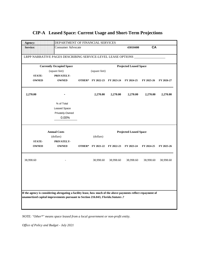| Agency:         | DEPARTMENT OF FINANCIAL SERVICES                                                                              |                          |            |                               |            |            |
|-----------------|---------------------------------------------------------------------------------------------------------------|--------------------------|------------|-------------------------------|------------|------------|
| <b>Service:</b> | <b>Consumer Advocate</b>                                                                                      |                          |            | 43010400                      | CA         |            |
|                 | LRPP NARRATIVE PAGES DESCRIBING SERVICE-LEVEL LEASE OPTIONS ______________                                    |                          |            |                               |            |            |
|                 | <b>Currently Occupied Space</b>                                                                               |                          |            | <b>Projected Leased Space</b> |            |            |
|                 | (square feet)                                                                                                 | (square feet)            |            |                               |            |            |
| <b>STATE-</b>   | PRIVATELY-                                                                                                    |                          |            |                               |            |            |
| <b>OWNED</b>    | <b>OWNED</b>                                                                                                  | <b>OTHER*</b> FY 2022-23 | FY 2023-24 | FY 2024-25                    | FY 2025-26 | FY 2026-27 |
| 2,270.00        |                                                                                                               | 2,270.00                 | 2,270.00   | 2,270.00                      | 2,270.00   | 2,270.00   |
|                 | % of Total                                                                                                    |                          |            |                               |            |            |
|                 | <b>Leased Space</b>                                                                                           |                          |            |                               |            |            |
|                 | Privately-Owned                                                                                               |                          |            |                               |            |            |
|                 | 0.00%                                                                                                         |                          |            |                               |            |            |
|                 |                                                                                                               |                          |            |                               |            |            |
|                 |                                                                                                               |                          |            |                               |            |            |
|                 | <b>Annual Costs</b>                                                                                           |                          |            | <b>Projected Leased Space</b> |            |            |
|                 | (dollars)                                                                                                     | (dollars)                |            |                               |            |            |
| <b>STATE-</b>   | PRIVATELY-                                                                                                    |                          |            |                               |            |            |
| <b>OWNED</b>    | <b>OWNED</b>                                                                                                  | <b>OTHER*</b> FY 2021-22 | FY 2022-23 | FY 2023-24                    | FY 2024-25 | FY 2025-26 |
| 38,998.60       |                                                                                                               | 38,998.60                | 38,998.60  | 38,998.60                     | 38,998.60  | 38,998.60  |
|                 |                                                                                                               |                          |            |                               |            |            |
|                 |                                                                                                               |                          |            |                               |            |            |
|                 |                                                                                                               |                          |            |                               |            |            |
|                 | If the agency is considering abrogating a facility lease, how much of the above payments reflect repayment of |                          |            |                               |            |            |
|                 | unamortized capital improvements pursuant to Section 216.043, Florida. Statutes .?                            |                          |            |                               |            |            |
|                 |                                                                                                               |                          |            |                               |            |            |

*NOTE: "Other\*" means space leased from a local government or non-profit entity.*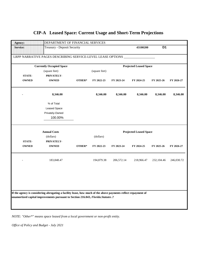| Agency:                                                                            | DEPARTMENT OF FINANCIAL SERVICES                                                                              |        |               |            |                               |                |            |  |  |  |
|------------------------------------------------------------------------------------|---------------------------------------------------------------------------------------------------------------|--------|---------------|------------|-------------------------------|----------------|------------|--|--|--|
| <b>Service:</b>                                                                    | <b>Treasury - Deposit Security</b>                                                                            |        |               |            | 43100200                      | D <sub>1</sub> |            |  |  |  |
|                                                                                    | LRPP NARRATIVE PAGES DESCRIBING SERVICE-LEVEL LEASE OPTIONS                                                   |        |               |            |                               |                |            |  |  |  |
|                                                                                    | <b>Currently Occupied Space</b>                                                                               |        |               |            | <b>Projected Leased Space</b> |                |            |  |  |  |
|                                                                                    | (square feet)                                                                                                 |        | (square feet) |            |                               |                |            |  |  |  |
| <b>STATE-</b>                                                                      | PRIVATELY-                                                                                                    |        |               |            |                               |                |            |  |  |  |
| <b>OWNED</b>                                                                       | <b>OWNED</b>                                                                                                  | OTHER* | FY 2022-23    | FY 2023-24 | FY 2024-25                    | FY 2025-26     | FY 2026-27 |  |  |  |
|                                                                                    | 8,346.00                                                                                                      |        | 8,346.00      | 8,346.00   | 8,346.00                      | 8,346.00       | 8,346.00   |  |  |  |
|                                                                                    | % of Total                                                                                                    |        |               |            |                               |                |            |  |  |  |
|                                                                                    | Leased Space                                                                                                  |        |               |            |                               |                |            |  |  |  |
|                                                                                    | Privately-Owned                                                                                               |        |               |            |                               |                |            |  |  |  |
|                                                                                    | 100.00%                                                                                                       |        |               |            |                               |                |            |  |  |  |
|                                                                                    |                                                                                                               |        |               |            |                               |                |            |  |  |  |
|                                                                                    | <b>Annual Costs</b>                                                                                           |        |               |            | <b>Projected Leased Space</b> |                |            |  |  |  |
|                                                                                    | (dollars)                                                                                                     |        | (dollars)     |            |                               |                |            |  |  |  |
| <b>STATE-</b>                                                                      | PRIVATELY-                                                                                                    |        |               |            |                               |                |            |  |  |  |
| <b>OWNED</b>                                                                       | <b>OWNED</b>                                                                                                  | OTHER* | FY 2022-23    | FY 2023-24 | FY 2024-25                    | FY 2025-26     | FY 2026-27 |  |  |  |
|                                                                                    | 183,848.47                                                                                                    |        | 194,879.38    | 206,572.14 | 218,966.47                    | 232,104.46     | 246,030.72 |  |  |  |
|                                                                                    |                                                                                                               |        |               |            |                               |                |            |  |  |  |
|                                                                                    |                                                                                                               |        |               |            |                               |                |            |  |  |  |
|                                                                                    |                                                                                                               |        |               |            |                               |                |            |  |  |  |
|                                                                                    | If the agency is considering abrogating a facility lease, how much of the above payments reflect repayment of |        |               |            |                               |                |            |  |  |  |
| unamortized capital improvements pursuant to Section 216.043, Florida. Statutes .? |                                                                                                               |        |               |            |                               |                |            |  |  |  |
|                                                                                    |                                                                                                               |        |               |            |                               |                |            |  |  |  |
|                                                                                    |                                                                                                               |        |               |            |                               |                |            |  |  |  |

*NOTE: "Other\*" means space leased from a local government or non-profit entity.*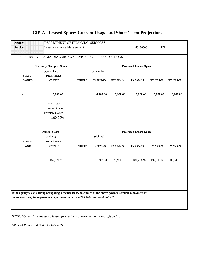| Agency:                       | DEPARTMENT OF FINANCIAL SERVICES                                                                              |        |               |            |                               |            |            |
|-------------------------------|---------------------------------------------------------------------------------------------------------------|--------|---------------|------------|-------------------------------|------------|------------|
| <b>Service:</b>               | <b>Treasury - Funds Management</b>                                                                            |        |               |            | 43100300                      | <b>E1</b>  |            |
|                               | LRPP NARRATIVE PAGES DESCRIBING SERVICE-LEVEL LEASE OPTIONS                                                   |        |               |            |                               |            |            |
|                               | <b>Currently Occupied Space</b>                                                                               |        |               |            | <b>Projected Leased Space</b> |            |            |
|                               | (square feet)                                                                                                 |        | (square feet) |            |                               |            |            |
| <b>STATE-</b>                 | PRIVATELY-                                                                                                    |        |               |            |                               |            |            |
| <b>OWNED</b>                  | <b>OWNED</b>                                                                                                  | OTHER* | FY 2022-23    | FY 2023-24 | FY 2024-25                    | FY 2025-26 | FY 2026-27 |
|                               | 6,908.00                                                                                                      |        | 6,908.00      | 6,908.00   | 6,908.00                      | 6,908.00   | 6,908.00   |
|                               | % of Total                                                                                                    |        |               |            |                               |            |            |
|                               | <b>Leased Space</b>                                                                                           |        |               |            |                               |            |            |
|                               | Privately-Owned                                                                                               |        |               |            |                               |            |            |
|                               | 100.00%                                                                                                       |        |               |            |                               |            |            |
|                               | <b>Annual Costs</b><br>(dollars)                                                                              |        | (dollars)     |            | <b>Projected Leased Space</b> |            |            |
| <b>STATE-</b><br><b>OWNED</b> | PRIVATELY-<br><b>OWNED</b>                                                                                    | OTHER* | FY 2022-23    | FY 2023-24 | FY 2024-25                    | FY 2025-26 | FY 2026-27 |
|                               | 152,171.73                                                                                                    |        | 161,302.03    | 170,980.16 | 181,238.97                    | 192,113.30 | 203,640.10 |
|                               |                                                                                                               |        |               |            |                               |            |            |
|                               |                                                                                                               |        |               |            |                               |            |            |
|                               | If the agency is considering abrogating a facility lease, how much of the above payments reflect repayment of |        |               |            |                               |            |            |
|                               |                                                                                                               |        |               |            |                               |            |            |
|                               | unamortized capital improvements pursuant to Section 216.043, Florida. Statutes .?                            |        |               |            |                               |            |            |
|                               |                                                                                                               |        |               |            |                               |            |            |

*NOTE: "Other\*" means space leased from a local government or non-profit entity.*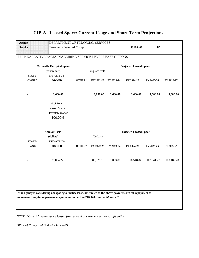| Agency:         | DEPARTMENT OF FINANCIAL SERVICES                                                                              |        |               |                       |                               |                |            |
|-----------------|---------------------------------------------------------------------------------------------------------------|--------|---------------|-----------------------|-------------------------------|----------------|------------|
| <b>Service:</b> | Treasury - Deferred Comp                                                                                      |        |               |                       | 43100400                      | F <sub>1</sub> |            |
|                 | LRPP NARRATIVE PAGES DESCRIBING SERVICE-LEVEL LEASE OPTIONS                                                   |        |               |                       |                               |                |            |
|                 | <b>Currently Occupied Space</b>                                                                               |        |               |                       | <b>Projected Leased Space</b> |                |            |
|                 | (square feet)                                                                                                 |        | (square feet) |                       |                               |                |            |
| <b>STATE-</b>   | PRIVATELY-                                                                                                    |        |               |                       |                               |                |            |
| <b>OWNED</b>    | <b>OWNED</b>                                                                                                  | OTHER* |               | FY 2022-23 FY 2023-24 | FY 2024-25                    | FY 2025-26     | FY 2026-27 |
|                 | 3,680.00                                                                                                      |        | 3,680.00      | 3,680.00              | 3,680.00                      | 3,680.00       | 3,680.00   |
|                 | % of Total                                                                                                    |        |               |                       |                               |                |            |
|                 | Leased Space                                                                                                  |        |               |                       |                               |                |            |
|                 | Privately-Owned                                                                                               |        |               |                       |                               |                |            |
|                 | 100.00%                                                                                                       |        |               |                       |                               |                |            |
|                 | <b>Annual Costs</b>                                                                                           |        |               |                       | <b>Projected Leased Space</b> |                |            |
|                 | (dollars)                                                                                                     |        | (dollars)     |                       |                               |                |            |
| <b>STATE-</b>   | PRIVATELY-                                                                                                    |        |               |                       |                               |                |            |
| <b>OWNED</b>    | <b>OWNED</b>                                                                                                  | OTHER* | FY 2022-23    | FY 2023-24            | FY 2024-25                    | FY 2025-26     | FY 2026-27 |
|                 | 81,064.27                                                                                                     |        | 85,928.13     | 91,083.81             | 96,548.84                     | 102,341.77     | 108,482.28 |
|                 |                                                                                                               |        |               |                       |                               |                |            |
|                 |                                                                                                               |        |               |                       |                               |                |            |
|                 | If the agency is considering abrogating a facility lease, how much of the above payments reflect repayment of |        |               |                       |                               |                |            |
|                 | unamortized capital improvements pursuant to Section 216.043, Florida. Statutes .?                            |        |               |                       |                               |                |            |
|                 |                                                                                                               |        |               |                       |                               |                |            |
|                 |                                                                                                               |        |               |                       |                               |                |            |

*NOTE: "Other\*" means space leased from a local government or non-profit entity.*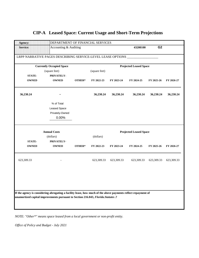### Agency: **DEPARTMENT OF FINANCIAL SERVICES Service:** Accounting & Auditing **Accounting** 43200100 **G2** LRPP NARRATIVE PAGES DESCRIBING SERVICE-LEVEL LEASE OPTIONS  **Currently Occupied Space Projected Leased Space** (square feet) (square feet) **STATE- PRIVATELY-OWNED OWNED OTHER\* FY 2022-23 FY 2023-24 FY 2024-25 FY 2025-26 FY 2026-27 36,230.24 - 36,230.24 36,230.24 36,230.24 36,230.24 36,230.24** % of Total Leased Space Privately-Owned 0.00% **Annual Costs Projected Leased Space** (dollars) (dollars) **STATE- PRIVATELY-OWNED OWNED OTHER\* FY 2022-23 FY 2023-24 FY 2024-25 FY 2025-26 FY 2026-27** 623,309.33 - 623,309.33 623,309.33 623,309.33 623,309.33 623,309.33 **If the agency is considering abrogating a facility lease, how much of the above payments reflect repayment of unamortized capital improvements pursuant to Section 216.043,** *Florida.Statutes***.?**

#### **CIP-A Leased Space: Current Usage and Short-Term Projections**

*NOTE: "Other\*" means space leased from a local government or non-profit entity.*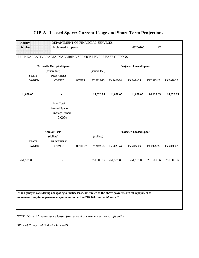| <b>Agency:</b>  | DEPARTMENT OF FINANCIAL SERVICES                                                                                                                                                                    |        |               |            |                               |            |            |
|-----------------|-----------------------------------------------------------------------------------------------------------------------------------------------------------------------------------------------------|--------|---------------|------------|-------------------------------|------------|------------|
| <b>Service:</b> | <b>Unclaimed Property</b>                                                                                                                                                                           |        |               |            | 43200200                      | <b>Y1</b>  |            |
|                 | LRPP NARRATIVE PAGES DESCRIBING SERVICE-LEVEL LEASE OPTIONS                                                                                                                                         |        |               |            |                               |            |            |
|                 | <b>Currently Occupied Space</b>                                                                                                                                                                     |        |               |            | <b>Projected Leased Space</b> |            |            |
|                 | (square feet)                                                                                                                                                                                       |        | (square feet) |            |                               |            |            |
| <b>STATE-</b>   | PRIVATELY-                                                                                                                                                                                          |        |               |            |                               |            |            |
| <b>OWNED</b>    | <b>OWNED</b>                                                                                                                                                                                        | OTHER* | FY 2022-23    | FY 2023-24 | FY 2024-25                    | FY 2025-26 | FY 2026-27 |
| 14,620.05       |                                                                                                                                                                                                     |        | 14,620.05     | 14,620.05  | 14,620.05                     | 14,620.05  | 14,620.05  |
|                 | % of Total                                                                                                                                                                                          |        |               |            |                               |            |            |
|                 | Leased Space                                                                                                                                                                                        |        |               |            |                               |            |            |
|                 | Privately-Owned                                                                                                                                                                                     |        |               |            |                               |            |            |
|                 | 0.00%                                                                                                                                                                                               |        |               |            |                               |            |            |
|                 | <b>Annual Costs</b>                                                                                                                                                                                 |        |               |            | <b>Projected Leased Space</b> |            |            |
|                 | (dollars)                                                                                                                                                                                           |        | (dollars)     |            |                               |            |            |
| <b>STATE-</b>   | PRIVATELY-                                                                                                                                                                                          |        |               |            |                               |            |            |
| <b>OWNED</b>    | <b>OWNED</b>                                                                                                                                                                                        | OTHER* | FY 2022-23    | FY 2023-24 | FY 2024-25                    | FY 2025-26 | FY 2026-27 |
| 251,509.86      |                                                                                                                                                                                                     |        | 251,509.86    | 251,509.86 | 251,509.86                    | 251,509.86 | 251,509.86 |
|                 |                                                                                                                                                                                                     |        |               |            |                               |            |            |
|                 |                                                                                                                                                                                                     |        |               |            |                               |            |            |
|                 |                                                                                                                                                                                                     |        |               |            |                               |            |            |
|                 | If the agency is considering abrogating a facility lease, how much of the above payments reflect repayment of<br>unamortized capital improvements pursuant to Section 216.043, Florida. Statutes .? |        |               |            |                               |            |            |

*NOTE: "Other\*" means space leased from a local government or non-profit entity.*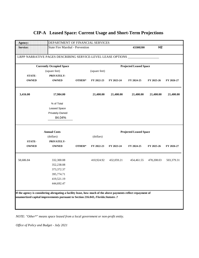| <b>Agency:</b>  | DEPARTMENT OF FINANCIAL SERVICES                                                                              |        |               |            |                               |                |            |
|-----------------|---------------------------------------------------------------------------------------------------------------|--------|---------------|------------|-------------------------------|----------------|------------|
| <b>Service:</b> | <b>State Fire Marshal - Prevention</b>                                                                        |        |               |            | 43300200                      | H <sub>2</sub> |            |
|                 | LRPP NARRATIVE PAGES DESCRIBING SERVICE-LEVEL LEASE OPTIONS                                                   |        |               |            |                               |                |            |
|                 | <b>Currently Occupied Space</b>                                                                               |        |               |            | <b>Projected Leased Space</b> |                |            |
|                 | (square feet)                                                                                                 |        | (square feet) |            |                               |                |            |
| <b>STATE-</b>   | PRIVATELY-                                                                                                    |        |               |            |                               |                |            |
| <b>OWNED</b>    | <b>OWNED</b>                                                                                                  | OTHER* | FY 2022-23    | FY 2023-24 | FY 2024-25                    | FY 2025-26     | FY 2026-27 |
| 3,416.00        | 17,984.00                                                                                                     |        | 21,400.00     | 21,400.00  | 21,400.00                     | 21,400.00      | 21,400.00  |
|                 | % of Total                                                                                                    |        |               |            |                               |                |            |
|                 | Leased Space                                                                                                  |        |               |            |                               |                |            |
|                 | Privately-Owned                                                                                               |        |               |            |                               |                |            |
|                 | 84.04%                                                                                                        |        |               |            |                               |                |            |
|                 | <b>Annual Costs</b>                                                                                           |        |               |            | <b>Projected Leased Space</b> |                |            |
|                 | (dollars)                                                                                                     |        | (dollars)     |            |                               |                |            |
| <b>STATE-</b>   | PRIVATELY-                                                                                                    |        |               |            |                               |                |            |
| <b>OWNED</b>    | <b>OWNED</b>                                                                                                  | OTHER* | FY 2022-23    | FY 2023-24 | FY 2024-25                    | FY 2025-26     | FY 2026-27 |
| 58,686.84       | 332,300.08                                                                                                    |        | 410,924.92    | 432,059.21 | 454,461.55                    | 478,208.03     | 503,379.31 |
|                 | 352,238.08                                                                                                    |        |               |            |                               |                |            |
|                 | 373,372.37                                                                                                    |        |               |            |                               |                |            |
|                 | 395,774.71                                                                                                    |        |               |            |                               |                |            |
|                 | 419,521.19                                                                                                    |        |               |            |                               |                |            |
|                 | 444,692.47                                                                                                    |        |               |            |                               |                |            |
|                 |                                                                                                               |        |               |            |                               |                |            |
|                 |                                                                                                               |        |               |            |                               |                |            |
|                 | If the agency is considering abrogating a facility lease, how much of the above payments reflect repayment of |        |               |            |                               |                |            |
|                 | unamortized capital improvements pursuant to Section 216.043, Florida. Statutes .?                            |        |               |            |                               |                |            |
|                 |                                                                                                               |        |               |            |                               |                |            |

*NOTE: "Other\*" means space leased from a local government or non-profit entity.*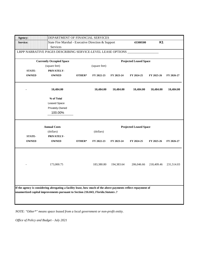| Agency:         | DEPARTMENT OF FINANCIAL SERVICES                                                                                                                                                                    |        |               |            |                               |            |            |
|-----------------|-----------------------------------------------------------------------------------------------------------------------------------------------------------------------------------------------------|--------|---------------|------------|-------------------------------|------------|------------|
| <b>Service:</b> | State Fire Marshal - Executive Direction & Support<br>Services                                                                                                                                      |        |               |            | 43300500                      | <b>K1</b>  |            |
|                 | LRPP NARRATIVE PAGES DESCRIBING SERVICE-LEVEL LEASE OPTIONS                                                                                                                                         |        |               |            |                               |            |            |
|                 | <b>Currently Occupied Space</b>                                                                                                                                                                     |        |               |            | <b>Projected Leased Space</b> |            |            |
|                 | (square feet)                                                                                                                                                                                       |        | (square feet) |            |                               |            |            |
| <b>STATE-</b>   | PRIVATELY-                                                                                                                                                                                          |        |               |            |                               |            |            |
| <b>OWNED</b>    | <b>OWNED</b>                                                                                                                                                                                        | OTHER* | FY 2022-23    | FY 2023-24 | FY 2024-25                    | FY 2025-26 | FY 2026-27 |
|                 | 10,484.00                                                                                                                                                                                           |        | 10,484.00     | 10,484.00  | 10,484.00                     | 10,484.00  | 10,484.00  |
|                 | % of Total                                                                                                                                                                                          |        |               |            |                               |            |            |
|                 | Leased Space                                                                                                                                                                                        |        |               |            |                               |            |            |
|                 | Privately-Owned                                                                                                                                                                                     |        |               |            |                               |            |            |
|                 | 100.00%                                                                                                                                                                                             |        |               |            |                               |            |            |
|                 | <b>Annual Costs</b>                                                                                                                                                                                 |        |               |            | <b>Projected Leased Space</b> |            |            |
|                 | (dollars)                                                                                                                                                                                           |        | (dollars)     |            |                               |            |            |
| <b>STATE-</b>   | PRIVATELY-                                                                                                                                                                                          |        |               |            |                               |            |            |
| <b>OWNED</b>    | <b>OWNED</b>                                                                                                                                                                                        | OTHER* | FY 2022-23    | FY 2023-24 | FY 2024-25                    | FY 2025-26 | FY 2026-27 |
|                 | 173,000.75                                                                                                                                                                                          |        | 183,380.80    | 194,383.64 | 206,046.66                    | 218,409.46 | 231,514.03 |
|                 |                                                                                                                                                                                                     |        |               |            |                               |            |            |
|                 | If the agency is considering abrogating a facility lease, how much of the above payments reflect repayment of<br>unamortized capital improvements pursuant to Section 216.043, Florida. Statutes .? |        |               |            |                               |            |            |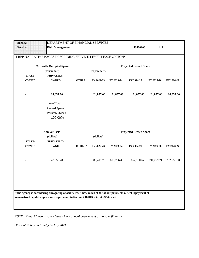| Agency:         | DEPARTMENT OF FINANCIAL SERVICES                                                                              |        |               |            |                               |            |            |
|-----------------|---------------------------------------------------------------------------------------------------------------|--------|---------------|------------|-------------------------------|------------|------------|
| <b>Service:</b> | <b>Risk Management</b>                                                                                        |        |               |            | 43400100                      | L1         |            |
|                 | LRPP NARRATIVE PAGES DESCRIBING SERVICE-LEVEL LEASE OPTIONS                                                   |        |               |            |                               |            |            |
|                 | <b>Currently Occupied Space</b>                                                                               |        |               |            | <b>Projected Leased Space</b> |            |            |
|                 | (square feet)                                                                                                 |        | (square feet) |            |                               |            |            |
| <b>STATE-</b>   | PRIVATELY-                                                                                                    |        |               |            |                               |            |            |
| <b>OWNED</b>    | <b>OWNED</b>                                                                                                  | OTHER* | FY 2022-23    | FY 2023-24 | FY 2024-25                    | FY 2025-26 | FY 2026-27 |
|                 | 24,857.00                                                                                                     |        | 24,857.00     | 24,857.00  | 24,857.00                     | 24,857.00  | 24,857.00  |
|                 | % of Total                                                                                                    |        |               |            |                               |            |            |
|                 | <b>Leased Space</b>                                                                                           |        |               |            |                               |            |            |
|                 | Privately-Owned                                                                                               |        |               |            |                               |            |            |
|                 | 100.00%                                                                                                       |        |               |            |                               |            |            |
|                 | <b>Annual Costs</b>                                                                                           |        |               |            | <b>Projected Leased Space</b> |            |            |
|                 | (dollars)                                                                                                     |        | (dollars)     |            |                               |            |            |
| <b>STATE-</b>   | PRIVATELY-                                                                                                    |        |               |            |                               |            |            |
| <b>OWNED</b>    | <b>OWNED</b>                                                                                                  | OTHER* | FY 2022-23    | FY 2023-24 | FY 2024-25                    | FY 2025-26 | FY 2026-27 |
|                 | 547,558.28                                                                                                    |        | 580,411.78    | 615,236.48 | 652,150.67                    | 691,279.71 | 732,756.50 |
|                 |                                                                                                               |        |               |            |                               |            |            |
|                 |                                                                                                               |        |               |            |                               |            |            |
|                 |                                                                                                               |        |               |            |                               |            |            |
|                 | If the agency is considering abrogating a facility lease, how much of the above payments reflect repayment of |        |               |            |                               |            |            |
|                 | unamortized capital improvements pursuant to Section 216.043, Florida. Statutes .?                            |        |               |            |                               |            |            |
|                 |                                                                                                               |        |               |            |                               |            |            |
|                 |                                                                                                               |        |               |            |                               |            |            |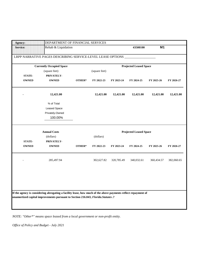| Agency:         | DEPARTMENT OF FINANCIAL SERVICES                                                                                                                                                                    |        |               |            |                               |            |            |
|-----------------|-----------------------------------------------------------------------------------------------------------------------------------------------------------------------------------------------------|--------|---------------|------------|-------------------------------|------------|------------|
| <b>Service:</b> | Rehab & Liquidation                                                                                                                                                                                 |        |               |            | 43500100                      | M1         |            |
|                 | LRPP NARRATIVE PAGES DESCRIBING SERVICE-LEVEL LEASE OPTIONS                                                                                                                                         |        |               |            |                               |            |            |
|                 | <b>Currently Occupied Space</b>                                                                                                                                                                     |        |               |            | <b>Projected Leased Space</b> |            |            |
|                 | (square feet)                                                                                                                                                                                       |        | (square feet) |            |                               |            |            |
| <b>STATE-</b>   | PRIVATELY-                                                                                                                                                                                          |        |               |            |                               |            |            |
| <b>OWNED</b>    | <b>OWNED</b>                                                                                                                                                                                        | OTHER* | FY 2022-23    | FY 2023-24 | FY 2024-25                    | FY 2025-26 | FY 2026-27 |
|                 | 12,421.00                                                                                                                                                                                           |        | 12,421.00     | 12,421.00  | 12,421.00                     | 12,421.00  | 12,421.00  |
|                 | % of Total                                                                                                                                                                                          |        |               |            |                               |            |            |
|                 | Leased Space                                                                                                                                                                                        |        |               |            |                               |            |            |
|                 | Privately-Owned                                                                                                                                                                                     |        |               |            |                               |            |            |
|                 | 100.00%                                                                                                                                                                                             |        |               |            |                               |            |            |
|                 | <b>Annual Costs</b>                                                                                                                                                                                 |        |               |            | <b>Projected Leased Space</b> |            |            |
|                 | (dollars)                                                                                                                                                                                           |        | (dollars)     |            |                               |            |            |
| <b>STATE-</b>   | PRIVATELY-                                                                                                                                                                                          |        |               |            |                               |            |            |
| <b>OWNED</b>    | <b>OWNED</b>                                                                                                                                                                                        | OTHER* | FY 2022-23    | FY 2023-24 | FY 2024-25                    | FY 2025-26 | FY 2026-27 |
|                 | 285,497.94                                                                                                                                                                                          |        | 302,627.82    | 320,785.49 | 340,032.61                    | 360,434.57 | 382,060.65 |
|                 |                                                                                                                                                                                                     |        |               |            |                               |            |            |
|                 |                                                                                                                                                                                                     |        |               |            |                               |            |            |
|                 |                                                                                                                                                                                                     |        |               |            |                               |            |            |
|                 | If the agency is considering abrogating a facility lease, how much of the above payments reflect repayment of<br>unamortized capital improvements pursuant to Section 216.043, Florida. Statutes .? |        |               |            |                               |            |            |
|                 |                                                                                                                                                                                                     |        |               |            |                               |            |            |
|                 |                                                                                                                                                                                                     |        |               |            |                               |            |            |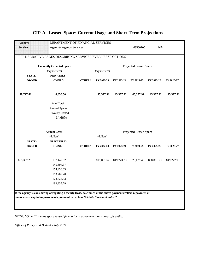| Agent & Agency Services<br>LRPP NARRATIVE PAGES DESCRIBING SERVICE-LEVEL LEASE OPTIONS<br><b>Currently Occupied Space</b><br>OTHER* | (square feet)<br>FY 2022-23<br>45,377.92 | FY 2023-24<br>45,377.92 | 43500200<br><b>Projected Leased Space</b><br>FY 2024-25<br>45,377.92                             | N4<br>FY 2025-26 | FY 2026-27                                                                                                                                                   |
|-------------------------------------------------------------------------------------------------------------------------------------|------------------------------------------|-------------------------|--------------------------------------------------------------------------------------------------|------------------|--------------------------------------------------------------------------------------------------------------------------------------------------------------|
|                                                                                                                                     |                                          |                         |                                                                                                  |                  |                                                                                                                                                              |
|                                                                                                                                     |                                          |                         |                                                                                                  |                  |                                                                                                                                                              |
|                                                                                                                                     |                                          |                         |                                                                                                  |                  |                                                                                                                                                              |
|                                                                                                                                     |                                          |                         |                                                                                                  |                  |                                                                                                                                                              |
|                                                                                                                                     |                                          |                         |                                                                                                  |                  |                                                                                                                                                              |
|                                                                                                                                     |                                          |                         |                                                                                                  |                  |                                                                                                                                                              |
|                                                                                                                                     |                                          |                         |                                                                                                  | 45,377.92        | 45,377.92                                                                                                                                                    |
|                                                                                                                                     |                                          |                         |                                                                                                  |                  |                                                                                                                                                              |
|                                                                                                                                     |                                          |                         |                                                                                                  |                  |                                                                                                                                                              |
|                                                                                                                                     |                                          |                         |                                                                                                  |                  |                                                                                                                                                              |
|                                                                                                                                     |                                          |                         |                                                                                                  |                  |                                                                                                                                                              |
|                                                                                                                                     |                                          |                         |                                                                                                  |                  |                                                                                                                                                              |
|                                                                                                                                     |                                          |                         |                                                                                                  |                  |                                                                                                                                                              |
|                                                                                                                                     |                                          |                         |                                                                                                  |                  |                                                                                                                                                              |
| OTHER*                                                                                                                              | FY 2022-23                               | FY 2023-24              | FY 2024-25                                                                                       | FY 2025-26       | FY 2026-27                                                                                                                                                   |
|                                                                                                                                     |                                          |                         |                                                                                                  |                  | 849,272.99                                                                                                                                                   |
|                                                                                                                                     |                                          |                         |                                                                                                  |                  |                                                                                                                                                              |
|                                                                                                                                     |                                          |                         |                                                                                                  |                  |                                                                                                                                                              |
|                                                                                                                                     |                                          |                         |                                                                                                  |                  |                                                                                                                                                              |
|                                                                                                                                     |                                          |                         |                                                                                                  |                  |                                                                                                                                                              |
|                                                                                                                                     |                                          |                         |                                                                                                  |                  |                                                                                                                                                              |
|                                                                                                                                     |                                          |                         |                                                                                                  |                  |                                                                                                                                                              |
|                                                                                                                                     |                                          |                         |                                                                                                  |                  |                                                                                                                                                              |
|                                                                                                                                     |                                          |                         |                                                                                                  |                  |                                                                                                                                                              |
|                                                                                                                                     |                                          |                         |                                                                                                  |                  |                                                                                                                                                              |
|                                                                                                                                     |                                          | (dollars)<br>811,031.57 | 819,773.23<br>unamortized capital improvements pursuant to Section 216.043, Florida. Statutes .? | 829,039.40       | <b>Projected Leased Space</b><br>838,861.53<br>If the agency is considering abrogating a facility lease, how much of the above payments reflect repayment of |

*NOTE: "Other\*" means space leased from a local government or non-profit entity.*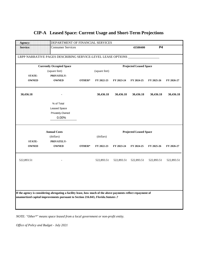| Agency:         | DEPARTMENT OF FINANCIAL SERVICES                                                                              |        |               |            |                               |            |            |
|-----------------|---------------------------------------------------------------------------------------------------------------|--------|---------------|------------|-------------------------------|------------|------------|
| <b>Service:</b> | <b>Consumer Services</b>                                                                                      |        |               |            | 43500400                      | <b>P4</b>  |            |
|                 |                                                                                                               |        |               |            |                               |            |            |
|                 | LRPP NARRATIVE PAGES DESCRIBING SERVICE-LEVEL LEASE OPTIONS                                                   |        |               |            |                               |            |            |
|                 | <b>Currently Occupied Space</b>                                                                               |        |               |            | <b>Projected Leased Space</b> |            |            |
|                 | (square feet)                                                                                                 |        | (square feet) |            |                               |            |            |
| <b>STATE-</b>   | PRIVATELY-                                                                                                    |        |               |            |                               |            |            |
| <b>OWNED</b>    | <b>OWNED</b>                                                                                                  | OTHER* | FY 2022-23    | FY 2023-24 | FY 2024-25                    | FY 2025-26 | FY 2026-27 |
| 30,436.18       |                                                                                                               |        | 30,436.18     | 30,436.18  | 30,436.18                     | 30,436.18  | 30,436.18  |
|                 | % of Total                                                                                                    |        |               |            |                               |            |            |
|                 | <b>Leased Space</b>                                                                                           |        |               |            |                               |            |            |
|                 | Privately-Owned                                                                                               |        |               |            |                               |            |            |
|                 | 0.00%                                                                                                         |        |               |            |                               |            |            |
|                 |                                                                                                               |        |               |            |                               |            |            |
|                 | <b>Annual Costs</b>                                                                                           |        |               |            | <b>Projected Leased Space</b> |            |            |
|                 | (dollars)                                                                                                     |        | (dollars)     |            |                               |            |            |
| <b>STATE-</b>   | PRIVATELY-                                                                                                    |        |               |            |                               |            |            |
| <b>OWNED</b>    | <b>OWNED</b>                                                                                                  | OTHER* | FY 2022-23    | FY 2023-24 | FY 2024-25                    | FY 2025-26 | FY 2026-27 |
| 522,893.51      |                                                                                                               |        | 522,893.51    | 522,893.51 | 522,893.51                    | 522,893.51 | 522,893.51 |
|                 |                                                                                                               |        |               |            |                               |            |            |
|                 |                                                                                                               |        |               |            |                               |            |            |
|                 |                                                                                                               |        |               |            |                               |            |            |
|                 | If the agency is considering abrogating a facility lease, how much of the above payments reflect repayment of |        |               |            |                               |            |            |
|                 | unamortized capital improvements pursuant to Section 216.043, Florida. Statutes .?                            |        |               |            |                               |            |            |
|                 |                                                                                                               |        |               |            |                               |            |            |
|                 |                                                                                                               |        |               |            |                               |            |            |

*NOTE: "Other\*" means space leased from a local government or non-profit entity.*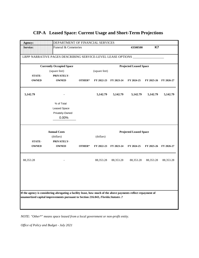| <b>Agency:</b>  | DEPARTMENT OF FINANCIAL SERVICES                                                                              |        |               |            |                               |            |            |
|-----------------|---------------------------------------------------------------------------------------------------------------|--------|---------------|------------|-------------------------------|------------|------------|
| <b>Service:</b> | Funeral & Cemeteries                                                                                          |        |               |            | 43500500                      | K7         |            |
|                 | LRPP NARRATIVE PAGES DESCRIBING SERVICE-LEVEL LEASE OPTIONS _____                                             |        |               |            |                               |            |            |
|                 | <b>Currently Occupied Space</b>                                                                               |        |               |            | <b>Projected Leased Space</b> |            |            |
|                 | (square feet)                                                                                                 |        | (square feet) |            |                               |            |            |
| <b>STATE-</b>   | PRIVATELY-                                                                                                    |        |               |            |                               |            |            |
| <b>OWNED</b>    | <b>OWNED</b>                                                                                                  | OTHER* | FY 2022-23    | FY 2023-24 | FY 2024-25                    | FY 2025-26 | FY 2026-27 |
| 5,142.79        |                                                                                                               |        | 5,142.79      | 5,142.79   | 5,142.79                      | 5,142.79   | 5,142.79   |
|                 | % of Total                                                                                                    |        |               |            |                               |            |            |
|                 | Leased Space                                                                                                  |        |               |            |                               |            |            |
|                 | Privately-Owned                                                                                               |        |               |            |                               |            |            |
|                 | 0.00%                                                                                                         |        |               |            |                               |            |            |
|                 |                                                                                                               |        |               |            |                               |            |            |
|                 | <b>Annual Costs</b>                                                                                           |        |               |            |                               |            |            |
|                 |                                                                                                               |        |               |            | <b>Projected Leased Space</b> |            |            |
| <b>STATE-</b>   | (dollars)<br>PRIVATELY-                                                                                       |        | (dollars)     |            |                               |            |            |
| <b>OWNED</b>    | <b>OWNED</b>                                                                                                  | OTHER* | FY 2022-23    | FY 2023-24 | FY 2024-25                    | FY 2025-26 | FY 2026-27 |
| 88,353.28       |                                                                                                               |        | 88,353.28     | 88,353.28  | 88,353.28                     | 88,353.28  | 88,353.28  |
|                 |                                                                                                               |        |               |            |                               |            |            |
|                 |                                                                                                               |        |               |            |                               |            |            |
|                 |                                                                                                               |        |               |            |                               |            |            |
|                 | If the agency is considering abrogating a facility lease, how much of the above payments reflect repayment of |        |               |            |                               |            |            |
|                 | unamortized capital improvements pursuant to Section 216.043, Florida. Statutes .?                            |        |               |            |                               |            |            |
|                 |                                                                                                               |        |               |            |                               |            |            |

*NOTE: "Other\*" means space leased from a local government or non-profit entity.*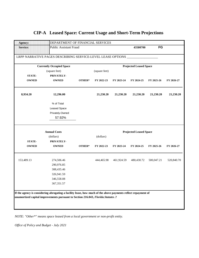| Agency:         | DEPARTMENT OF FINANCIAL SERVICES                                                                              |        |               |            |                               |            |            |
|-----------------|---------------------------------------------------------------------------------------------------------------|--------|---------------|------------|-------------------------------|------------|------------|
| <b>Service:</b> | Public Assistant Fraud                                                                                        |        |               |            | 43500700                      | <b>FG</b>  |            |
|                 | LRPP NARRATIVE PAGES DESCRIBING SERVICE-LEVEL LEASE OPTIONS _                                                 |        |               |            |                               |            |            |
|                 | <b>Currently Occupied Space</b>                                                                               |        |               |            | <b>Projected Leased Space</b> |            |            |
|                 | (square feet)                                                                                                 |        | (square feet) |            |                               |            |            |
| <b>STATE-</b>   | PRIVATELY-                                                                                                    |        |               |            |                               |            |            |
| <b>OWNED</b>    | <b>OWNED</b>                                                                                                  | OTHER* | FY 2022-23    | FY 2023-24 | FY 2024-25                    | FY 2025-26 | FY 2026-27 |
| 8,934.20        | 12,296.00                                                                                                     |        | 21,230.20     | 21,230.20  | 21,230.20                     | 21,230.20  | 21,230.20  |
|                 | % of Total                                                                                                    |        |               |            |                               |            |            |
|                 | <b>Leased Space</b>                                                                                           |        |               |            |                               |            |            |
|                 | Privately-Owned                                                                                               |        |               |            |                               |            |            |
|                 | 57.92%                                                                                                        |        |               |            |                               |            |            |
|                 | <b>Annual Costs</b>                                                                                           |        |               |            | <b>Projected Leased Space</b> |            |            |
|                 | (dollars)                                                                                                     |        | (dollars)     |            |                               |            |            |
| <b>STATE-</b>   | PRIVATELY-                                                                                                    |        |               |            |                               |            |            |
| <b>OWNED</b>    | <b>OWNED</b>                                                                                                  | OTHER* | FY 2022-23    | FY 2023-24 | FY 2024-25                    | FY 2025-26 | FY 2026-27 |
| 153,489.13      | 274,506.46                                                                                                    |        | 444,465.98    | 461,924.59 | 480,430.72                    | 500,047.21 | 520,840.70 |
|                 | 290,976.85                                                                                                    |        |               |            |                               |            |            |
|                 | 308,435.46                                                                                                    |        |               |            |                               |            |            |
|                 | 326,941.59                                                                                                    |        |               |            |                               |            |            |
|                 | 346,558.08                                                                                                    |        |               |            |                               |            |            |
|                 | 367, 351.57                                                                                                   |        |               |            |                               |            |            |
|                 | If the agency is considering abrogating a facility lease, how much of the above payments reflect repayment of |        |               |            |                               |            |            |
|                 | unamortized capital improvements pursuant to Section 216.043, Florida. Statutes .?                            |        |               |            |                               |            |            |

*NOTE: "Other\*" means space leased from a local government or non-profit entity.*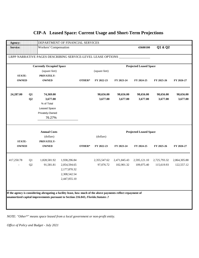| Agency:         |                      | DEPARTMENT OF FINANCIAL SERVICES                                                                              |              |        |                       |                       |                               |                       |                       |
|-----------------|----------------------|---------------------------------------------------------------------------------------------------------------|--------------|--------|-----------------------|-----------------------|-------------------------------|-----------------------|-----------------------|
| <b>Service:</b> |                      | Workers' Compensation                                                                                         |              |        |                       |                       | 43600100                      | Q1 & Q2               |                       |
|                 |                      | LRPP NARRATIVE PAGES DESCRIBING SERVICE-LEVEL LEASE OPTIONS                                                   |              |        |                       |                       |                               |                       |                       |
|                 |                      | <b>Currently Occupied Space</b>                                                                               |              |        |                       |                       | <b>Projected Leased Space</b> |                       |                       |
|                 |                      | (square feet)                                                                                                 |              |        | (square feet)         |                       |                               |                       |                       |
| <b>STATE-</b>   |                      | PRIVATELY-                                                                                                    |              |        |                       |                       |                               |                       |                       |
| <b>OWNED</b>    |                      | <b>OWNED</b>                                                                                                  |              | OTHER* | FY 2022-23            | FY 2023-24            | FY 2024-25                    | FY 2025-26            | FY 2026-27            |
| 24,287.00       | Q1<br>Q <sub>2</sub> | 74,369.00<br>3,677.00                                                                                         |              |        | 98,656.00<br>3,677.00 | 98,656.00<br>3,677.00 | 98,656.00<br>3,677.00         | 98,656.00<br>3,677.00 | 98,656.00<br>3,677.00 |
|                 |                      | % of Total                                                                                                    |              |        |                       |                       |                               |                       |                       |
|                 |                      | Leased Space                                                                                                  |              |        |                       |                       |                               |                       |                       |
|                 |                      | Privately-Owned                                                                                               |              |        |                       |                       |                               |                       |                       |
|                 |                      | 76.27%                                                                                                        |              |        |                       |                       |                               |                       |                       |
|                 |                      | <b>Annual Costs</b>                                                                                           |              |        |                       |                       | <b>Projected Leased Space</b> |                       |                       |
|                 |                      | (dollars)                                                                                                     |              |        | (dollars)             |                       |                               |                       |                       |
| <b>STATE-</b>   |                      | PRIVATELY-                                                                                                    |              |        |                       |                       |                               |                       |                       |
| <b>OWNED</b>    |                      | <b>OWNED</b>                                                                                                  |              | OTHER* | FY 2022-23            | FY 2023-24            | FY 2024-25                    | FY 2025-26            | FY 2026-27            |
|                 |                      |                                                                                                               |              |        |                       |                       |                               |                       |                       |
| 417,250.78      | Q1                   | 1,828,581.92                                                                                                  | 1,938,296.84 |        | 2,355,547.62          | 2,471,845.43          | 2,595,121.10                  | 2,725,793.32          | 2,864,305.88          |
|                 | Q2                   | 91,581.81                                                                                                     | 2,054,594.65 |        | 97,076.72             | 102,901.32            | 109,075.40                    | 115,619.93            | 122,557.12            |
|                 |                      |                                                                                                               | 2,177,870.32 |        |                       |                       |                               |                       |                       |
|                 |                      |                                                                                                               | 2,308,542.54 |        |                       |                       |                               |                       |                       |
|                 |                      |                                                                                                               | 2,447,055.10 |        |                       |                       |                               |                       |                       |
|                 |                      |                                                                                                               |              |        |                       |                       |                               |                       |                       |
|                 |                      |                                                                                                               |              |        |                       |                       |                               |                       |                       |
|                 |                      | If the agency is considering abrogating a facility lease, how much of the above payments reflect repayment of |              |        |                       |                       |                               |                       |                       |
|                 |                      | unamortized capital improvements pursuant to Section 216.043, Florida. Statutes .?                            |              |        |                       |                       |                               |                       |                       |

*NOTE: "Other\*" means space leased from a local government or non-profit entity.*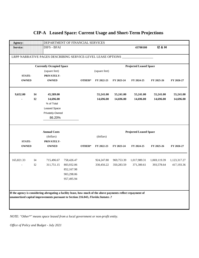| Agency:         |           | DEPARTMENT OF FINANCIAL SERVICES                                                                              |                          |        |               |            |                               |                    |              |
|-----------------|-----------|---------------------------------------------------------------------------------------------------------------|--------------------------|--------|---------------|------------|-------------------------------|--------------------|--------------|
| <b>Service:</b> |           | <b>DIFS - BFAI</b>                                                                                            |                          |        |               |            | 43700100                      | <b>12 &amp; 14</b> |              |
|                 |           | LRPP NARRATIVE PAGES DESCRIBING SERVICE-LEVEL LEASE OPTIONS                                                   |                          |        |               |            |                               |                    |              |
|                 |           | <b>Currently Occupied Space</b>                                                                               |                          |        |               |            | <b>Projected Leased Space</b> |                    |              |
|                 |           | (square feet)                                                                                                 |                          |        | (square feet) |            |                               |                    |              |
| <b>STATE-</b>   |           | PRIVATELY-                                                                                                    |                          |        |               |            |                               |                    |              |
| <b>OWNED</b>    |           | <b>OWNED</b>                                                                                                  |                          | OTHER* | FY 2022-23    | FY 2023-24 | FY 2024-25                    | FY 2025-26         | FY 2026-27   |
| 9,652.00        | <b>I4</b> | 45,589.00                                                                                                     |                          |        | 55,241.00     | 55,241.00  | 55,241.00                     | 55,241.00          | 55,241.00    |
|                 | I2        | 14,696.00                                                                                                     |                          |        | 14,696.00     | 14,696.00  | 14,696.00                     | 14,696.00          | 14,696.00    |
|                 |           | % of Total                                                                                                    |                          |        |               |            |                               |                    |              |
|                 |           | Leased Space                                                                                                  |                          |        |               |            |                               |                    |              |
|                 |           | Privately-Owned                                                                                               |                          |        |               |            |                               |                    |              |
|                 |           | 86.20%                                                                                                        |                          |        |               |            |                               |                    |              |
|                 |           | <b>Annual Costs</b>                                                                                           |                          |        |               |            | <b>Projected Leased Space</b> |                    |              |
|                 |           |                                                                                                               |                          |        | (dollars)     |            |                               |                    |              |
|                 |           | (dollars)                                                                                                     |                          |        |               |            |                               |                    |              |
| <b>STATE-</b>   |           | PRIVATELY-                                                                                                    |                          |        |               |            |                               |                    |              |
| <b>OWNED</b>    |           | <b>OWNED</b>                                                                                                  |                          | OTHER* | FY 2022-23    | FY 2023-24 | FY 2024-25                    | FY 2025-26         | FY 2026-27   |
|                 |           |                                                                                                               |                          |        |               |            |                               |                    |              |
| 165,821.33      | 14        | 715,496.67                                                                                                    | 758,426.47               |        | 924,247.80    | 969,753.39 | 1,017,989.31                  | 1,069,119.39       | 1,123,317.27 |
|                 | I2        | 311,751.15                                                                                                    | 803,932.06               |        | 330,456.22    | 350,283.59 | 371,300.61                    | 393,578.64         | 417,193.36   |
|                 |           |                                                                                                               | 852,167.98<br>903,298.06 |        |               |            |                               |                    |              |
|                 |           |                                                                                                               | 957,495.94               |        |               |            |                               |                    |              |
|                 |           |                                                                                                               |                          |        |               |            |                               |                    |              |
|                 |           |                                                                                                               |                          |        |               |            |                               |                    |              |
|                 |           | If the agency is considering abrogating a facility lease, how much of the above payments reflect repayment of |                          |        |               |            |                               |                    |              |
|                 |           | unamortized capital improvements pursuant to Section 216.043, Florida. Statutes .?                            |                          |        |               |            |                               |                    |              |
|                 |           |                                                                                                               |                          |        |               |            |                               |                    |              |

*NOTE: "Other\*" means space leased from a local government or non-profit entity.*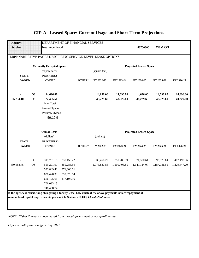| <b>Agency:</b>                                                                                                |           | DEPARTMENT OF FINANCIAL SERVICES                            |            |        |               |              |                               |                    |              |
|---------------------------------------------------------------------------------------------------------------|-----------|-------------------------------------------------------------|------------|--------|---------------|--------------|-------------------------------|--------------------|--------------|
| <b>Service:</b>                                                                                               |           | <b>Insurance Fraud</b>                                      |            |        |               |              | 43700300                      | <b>08 &amp; OS</b> |              |
|                                                                                                               |           | LRPP NARRATIVE PAGES DESCRIBING SERVICE-LEVEL LEASE OPTIONS |            |        |               |              |                               |                    |              |
|                                                                                                               |           |                                                             |            |        |               |              |                               |                    |              |
|                                                                                                               |           | <b>Currently Occupied Space</b>                             |            |        |               |              | <b>Projected Leased Space</b> |                    |              |
|                                                                                                               |           | (square feet)                                               |            |        | (square feet) |              |                               |                    |              |
| <b>STATE-</b>                                                                                                 |           | PRIVATELY-                                                  |            |        |               |              |                               |                    |              |
| <b>OWNED</b>                                                                                                  |           | <b>OWNED</b>                                                |            | OTHER* | FY 2022-23    | FY 2023-24   | FY 2024-25                    | FY 2025-26         | FY 2026-27   |
|                                                                                                               | <b>O8</b> | 14,696.00                                                   |            |        | 14,696.00     | 14,696.00    | 14,696.00                     | 14,696.00          | 14,696.00    |
| 25,734.10                                                                                                     | <b>OS</b> | 22,495.50                                                   |            |        | 48,229.60     | 48,229.60    | 48,229.60                     | 48,229.60          | 48,229.60    |
|                                                                                                               |           | % of Total                                                  |            |        |               |              |                               |                    |              |
|                                                                                                               |           | <b>Leased Space</b>                                         |            |        |               |              |                               |                    |              |
|                                                                                                               |           | Privately-Owned                                             |            |        |               |              |                               |                    |              |
|                                                                                                               |           | 59.10%                                                      |            |        |               |              |                               |                    |              |
|                                                                                                               |           |                                                             |            |        |               |              |                               |                    |              |
|                                                                                                               |           | <b>Annual Costs</b>                                         |            |        |               |              | <b>Projected Leased Space</b> |                    |              |
|                                                                                                               |           | (dollars)                                                   |            |        | (dollars)     |              |                               |                    |              |
| <b>STATE-</b>                                                                                                 |           | PRIVATELY-                                                  |            |        |               |              |                               |                    |              |
| <b>OWNED</b>                                                                                                  |           | <b>OWNED</b>                                                |            | OTHER* | FY 2022-23    | FY 2023-24   | FY 2024-25                    | FY 2025-26         | FY 2026-27   |
|                                                                                                               | O8        | 311,751.15                                                  | 330,456.22 |        | 330,456.22    | 350,283.59   | 371,300.61                    | 393,578.64         | 417,193.36   |
| 480,988.46                                                                                                    | <b>OS</b> | 559,291.91                                                  | 350,283.59 |        | 1,073,837.88  | 1,109,408.85 | 1,147,114.07                  | 1,187,081.61       | 1,229,447.20 |
|                                                                                                               |           | 592,849.42                                                  | 371,300.61 |        |               |              |                               |                    |              |
|                                                                                                               |           | 628,420.39                                                  | 393,578.64 |        |               |              |                               |                    |              |
|                                                                                                               |           | 666,125.61                                                  | 417,193.36 |        |               |              |                               |                    |              |
|                                                                                                               |           | 706,093.15                                                  |            |        |               |              |                               |                    |              |
|                                                                                                               |           | 748,458.74                                                  |            |        |               |              |                               |                    |              |
| If the agency is considering abrogating a facility lease, how much of the above payments reflect repayment of |           |                                                             |            |        |               |              |                               |                    |              |

*NOTE: "Other\*" means space leased from a local government or non-profit entity.*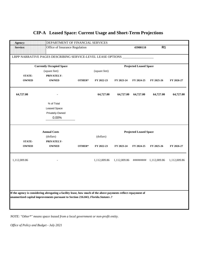| <b>Agency:</b>  | DEPARTMENT OF FINANCIAL SERVICES                                                                              |        |               |              |                               |                |              |
|-----------------|---------------------------------------------------------------------------------------------------------------|--------|---------------|--------------|-------------------------------|----------------|--------------|
| <b>Service:</b> | Office of Insurance Regulation                                                                                |        |               |              | 43900110                      | R <sub>1</sub> |              |
|                 | LRPP NARRATIVE PAGES DESCRIBING SERVICE-LEVEL LEASE OPTIONS                                                   |        |               |              |                               |                |              |
|                 | <b>Currently Occupied Space</b>                                                                               |        |               |              | <b>Projected Leased Space</b> |                |              |
|                 | (square feet)                                                                                                 |        | (square feet) |              |                               |                |              |
| <b>STATE-</b>   | PRIVATELY-                                                                                                    |        |               |              |                               |                |              |
| <b>OWNED</b>    | <b>OWNED</b>                                                                                                  | OTHER* | FY 2022-23    | FY 2023-24   | FY 2024-25                    | FY 2025-26     | FY 2026-27   |
| 64,727.00       |                                                                                                               |        | 64,727.00     | 64,727.00    | 64,727.00                     | 64,727.00      | 64,727.00    |
|                 | % of Total                                                                                                    |        |               |              |                               |                |              |
|                 | <b>Leased Space</b>                                                                                           |        |               |              |                               |                |              |
|                 | Privately-Owned                                                                                               |        |               |              |                               |                |              |
|                 | 0.00%                                                                                                         |        |               |              |                               |                |              |
|                 |                                                                                                               |        |               |              |                               |                |              |
|                 | <b>Annual Costs</b>                                                                                           |        |               |              | <b>Projected Leased Space</b> |                |              |
|                 | (dollars)                                                                                                     |        | (dollars)     |              |                               |                |              |
| <b>STATE-</b>   | PRIVATELY-                                                                                                    |        |               |              |                               |                |              |
| <b>OWNED</b>    | <b>OWNED</b>                                                                                                  | OTHER* | FY 2022-23    | FY 2023-24   | FY 2024-25                    | FY 2025-26     | FY 2026-27   |
| 1,112,009.86    |                                                                                                               |        | 1,112,009.86  | 1,112,009.86 | #########                     | 1,112,009.86   | 1,112,009.86 |
|                 |                                                                                                               |        |               |              |                               |                |              |
|                 |                                                                                                               |        |               |              |                               |                |              |
|                 |                                                                                                               |        |               |              |                               |                |              |
|                 |                                                                                                               |        |               |              |                               |                |              |
|                 | If the agency is considering abrogating a facility lease, how much of the above payments reflect repayment of |        |               |              |                               |                |              |
|                 | unamortized capital improvements pursuant to Section 216.043, Florida. Statutes .?                            |        |               |              |                               |                |              |
|                 |                                                                                                               |        |               |              |                               |                |              |

*NOTE: "Other\*" means space leased from a local government or non-profit entity.*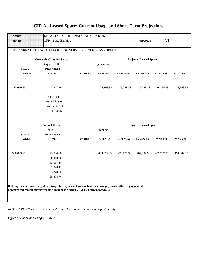| Agency:         | DEPARTMENT OF FINANCIAL SERVICES                                    |        |               |            |                               |                |            |
|-----------------|---------------------------------------------------------------------|--------|---------------|------------|-------------------------------|----------------|------------|
| <b>Service:</b> | <b>OFR</b> - State Banking                                          |        |               |            | 43900530                      | V <sub>1</sub> |            |
|                 | LRPP NARRATIVE PAGES DESCRIBING SERVICE-LEVEL LEASE OPTIONS _______ |        |               |            |                               |                |            |
|                 | <b>Currently Occupied Space</b>                                     |        |               |            | <b>Projected Leased Space</b> |                |            |
|                 | (square feet)                                                       |        | (square feet) |            |                               |                |            |
| <b>STATE-</b>   | PRIVATELY-                                                          |        |               |            |                               |                |            |
| <b>OWNED</b>    | <b>OWNED</b>                                                        | OTHER* | FY 2022-23    | FY 2023-24 | FY 2024-25                    | FY 2025-26     | FY 2026-27 |
| 23,050.63       | 3,247.70                                                            |        | 26,298.33     | 26,298.33  | 26,298.33                     | 26,298.33      | 26,298.33  |
|                 | % of Total                                                          |        |               |            |                               |                |            |
|                 | Leased Space                                                        |        |               |            |                               |                |            |
|                 | Privately-Owned                                                     |        |               |            |                               |                |            |
|                 | 12.35%                                                              |        |               |            |                               |                |            |
|                 | <b>Annual Costs</b>                                                 |        |               |            | <b>Projected Leased Space</b> |                |            |
|                 | (dollars)                                                           |        | (dollars)     |            |                               |                |            |
| <b>STATE-</b>   | PRIVATELY-                                                          |        |               |            |                               |                |            |
| <b>OWNED</b>    | <b>OWNED</b>                                                        | OTHER* | FY 2022-23    | FY 2023-24 | FY 2024-25                    | FY 2025-26     | FY 2026-27 |
| 396,009.79      | 73,884.96                                                           |        | 474,327.85    | 479,026.93 | 484,007.96                    | 489,287.85     | 494,884.53 |
|                 | 78,318.06                                                           |        |               |            |                               |                |            |
|                 | 83,017.14                                                           |        |               |            |                               |                |            |
|                 | 87,998.17                                                           |        |               |            |                               |                |            |
|                 | 93,278.06                                                           |        |               |            |                               |                |            |
|                 |                                                                     |        |               |            |                               |                |            |
|                 | 98,874.74                                                           |        |               |            |                               |                |            |

*NOTE: "Other\*" means space leased from a local government or non-profit entity.*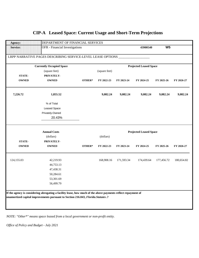| Agency:         | DEPARTMENT OF FINANCIAL SERVICES                                                                              |        |               |            |                               |                |            |
|-----------------|---------------------------------------------------------------------------------------------------------------|--------|---------------|------------|-------------------------------|----------------|------------|
| <b>Service:</b> | OFR - Financial Investigations                                                                                |        |               |            | 43900540                      | W <sub>5</sub> |            |
|                 | LRPP NARRATIVE PAGES DESCRIBING SERVICE-LEVEL LEASE OPTIONS                                                   |        |               |            |                               |                |            |
|                 | <b>Currently Occupied Space</b>                                                                               |        |               |            | <b>Projected Leased Space</b> |                |            |
|                 | (square feet)                                                                                                 |        | (square feet) |            |                               |                |            |
| <b>STATE-</b>   | PRIVATELY-                                                                                                    |        |               |            |                               |                |            |
| <b>OWNED</b>    | <b>OWNED</b>                                                                                                  | OTHER* | FY 2022-23    | FY 2023-24 | FY 2024-25                    | FY 2025-26     | FY 2026-27 |
| 7,226.72        | 1,855.52                                                                                                      |        | 9,082.24      | 9,082.24   | 9,082.24                      | 9,082.24       | 9,082.24   |
|                 | % of Total                                                                                                    |        |               |            |                               |                |            |
|                 | Leased Space                                                                                                  |        |               |            |                               |                |            |
|                 | Privately-Owned                                                                                               |        |               |            |                               |                |            |
|                 | 20.43%                                                                                                        |        |               |            |                               |                |            |
|                 |                                                                                                               |        |               |            |                               |                |            |
|                 |                                                                                                               |        |               |            |                               |                |            |
|                 |                                                                                                               |        |               |            |                               |                |            |
|                 | <b>Annual Costs</b>                                                                                           |        |               |            | <b>Projected Leased Space</b> |                |            |
| <b>STATE-</b>   | (dollars)<br>PRIVATELY-                                                                                       |        | (dollars)     |            |                               |                |            |
| <b>OWNED</b>    | <b>OWNED</b>                                                                                                  | OTHER* | FY 2022-23    | FY 2023-24 | FY 2024-25                    | FY 2025-26     | FY 2026-27 |
|                 |                                                                                                               |        |               |            |                               |                |            |
| 124,155.03      | 42,219.93                                                                                                     |        | 168,908.16    | 171,593.34 | 174,439.64                    | 177,456.72     | 180,654.82 |
|                 | 44,753.13                                                                                                     |        |               |            |                               |                |            |
|                 | 47,438.31                                                                                                     |        |               |            |                               |                |            |
|                 | 50,284.61                                                                                                     |        |               |            |                               |                |            |
|                 | 53,301.69                                                                                                     |        |               |            |                               |                |            |
|                 | 56,499.79                                                                                                     |        |               |            |                               |                |            |
|                 | If the agency is considering abrogating a facility lease, how much of the above payments reflect repayment of |        |               |            |                               |                |            |
|                 | unamortized capital improvements pursuant to Section 216.043, Florida. Statutes .?                            |        |               |            |                               |                |            |
|                 |                                                                                                               |        |               |            |                               |                |            |

*NOTE: "Other\*" means space leased from a local government or non-profit entity.*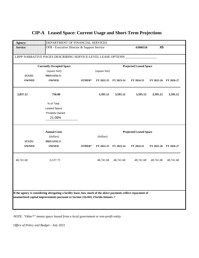| <b>Agency:</b>                  | DEPARTMENT OF FINANCIAL SERVICES                                                                                                                                                                    |                                            |                               |            |            |                            |            |  |  |
|---------------------------------|-----------------------------------------------------------------------------------------------------------------------------------------------------------------------------------------------------|--------------------------------------------|-------------------------------|------------|------------|----------------------------|------------|--|--|
| <b>Service:</b>                 |                                                                                                                                                                                                     | OFR - Executive Director & Support Service |                               |            |            | X <sub>5</sub><br>43900550 |            |  |  |
|                                 | LRPP NARRATIVE PAGES DESCRIBING SERVICE-LEVEL LEASE OPTIONS                                                                                                                                         |                                            |                               |            |            |                            |            |  |  |
| <b>Currently Occupied Space</b> |                                                                                                                                                                                                     |                                            | <b>Projected Leased Space</b> |            |            |                            |            |  |  |
|                                 | (square feet)                                                                                                                                                                                       |                                            | (square feet)                 |            |            |                            |            |  |  |
| <b>STATE-</b>                   | PRIVATELY-                                                                                                                                                                                          |                                            |                               |            |            |                            |            |  |  |
| <b>OWNED</b>                    | <b>OWNED</b>                                                                                                                                                                                        | OTHER*                                     | FY 2022-23                    | FY 2023-24 | FY 2024-25 | FY 2025-26                 | FY 2026-27 |  |  |
| 2,837.12                        | 758.00                                                                                                                                                                                              |                                            | 3,595.12                      | 3,595.12   | 3,595.12   | 3,595.12                   | 3,595.12   |  |  |
|                                 | % of Total                                                                                                                                                                                          |                                            |                               |            |            |                            |            |  |  |
|                                 | Leased Space                                                                                                                                                                                        |                                            |                               |            |            |                            |            |  |  |
|                                 | Privately-Owned                                                                                                                                                                                     |                                            |                               |            |            |                            |            |  |  |
|                                 | 21.08%                                                                                                                                                                                              |                                            |                               |            |            |                            |            |  |  |
|                                 |                                                                                                                                                                                                     |                                            |                               |            |            |                            |            |  |  |
|                                 | <b>Annual Costs</b>                                                                                                                                                                                 | <b>Projected Leased Space</b>              |                               |            |            |                            |            |  |  |
|                                 | (dollars)                                                                                                                                                                                           |                                            | (dollars)                     |            |            |                            |            |  |  |
| <b>STATE-</b>                   | PRIVATELY-                                                                                                                                                                                          |                                            |                               |            |            |                            |            |  |  |
| <b>OWNED</b>                    | <b>OWNED</b>                                                                                                                                                                                        | OTHER*                                     | FY 2022-23                    | FY 2023-24 | FY 2024-25 | FY 2025-26                 | FY 2026-27 |  |  |
| 48,741.68                       | 6,537.75                                                                                                                                                                                            |                                            | 48,741.68                     | 48,741.68  | 48,741.68  | 48,741.68                  | 48,741.68  |  |  |
|                                 |                                                                                                                                                                                                     |                                            |                               |            |            |                            |            |  |  |
|                                 |                                                                                                                                                                                                     |                                            |                               |            |            |                            |            |  |  |
|                                 | If the agency is considering abrogating a facility lease, how much of the above payments reflect repayment of<br>unamortized capital improvements pursuant to Section 216.043, Florida. Statutes .? |                                            |                               |            |            |                            |            |  |  |
|                                 |                                                                                                                                                                                                     |                                            |                               |            |            |                            |            |  |  |

*NOTE: "Other\*" means space leased from a local government or non-profit entity.*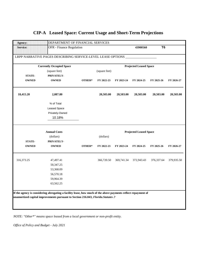| Agency:         | DEPARTMENT OF FINANCIAL SERVICES                                                                              |                                 |               |            |            |                |            |  |  |
|-----------------|---------------------------------------------------------------------------------------------------------------|---------------------------------|---------------|------------|------------|----------------|------------|--|--|
| <b>Service:</b> |                                                                                                               | <b>OFR</b> - Finance Regulation |               |            | 43900560   | T <sub>6</sub> |            |  |  |
|                 | LRPP NARRATIVE PAGES DESCRIBING SERVICE-LEVEL LEASE OPTIONS                                                   |                                 |               |            |            |                |            |  |  |
|                 | <b>Currently Occupied Space</b>                                                                               | <b>Projected Leased Space</b>   |               |            |            |                |            |  |  |
|                 | (square feet)                                                                                                 |                                 | (square feet) |            |            |                |            |  |  |
| <b>STATE-</b>   | PRIVATELY-                                                                                                    |                                 |               |            |            |                |            |  |  |
| <b>OWNED</b>    | <b>OWNED</b>                                                                                                  | OTHER*                          | FY 2022-23    | FY 2023-24 | FY 2024-25 | FY 2025-26     | FY 2026-27 |  |  |
| 18,415.20       | 2,087.80                                                                                                      |                                 | 20,503.00     | 20,503.00  | 20,503.00  | 20,503.00      | 20,503.00  |  |  |
|                 | % of Total                                                                                                    |                                 |               |            |            |                |            |  |  |
|                 | Leased Space                                                                                                  |                                 |               |            |            |                |            |  |  |
|                 | Privately-Owned                                                                                               |                                 |               |            |            |                |            |  |  |
|                 | 10.18%                                                                                                        |                                 |               |            |            |                |            |  |  |
|                 | <b>Annual Costs</b><br><b>Projected Leased Space</b>                                                          |                                 |               |            |            |                |            |  |  |
|                 | (dollars)<br>(dollars)                                                                                        |                                 |               |            |            |                |            |  |  |
| <b>STATE-</b>   | PRIVATELY-                                                                                                    |                                 |               |            |            |                |            |  |  |
| <b>OWNED</b>    | <b>OWNED</b>                                                                                                  | OTHER*                          | FY 2022-23    | FY 2023-24 | FY 2024-25 | FY 2025-26     | FY 2026-27 |  |  |
| 316,373.25      | 47,497.41                                                                                                     |                                 | 366,720.50    | 369,741.34 | 372,943.43 | 376, 337.64    | 379,935.50 |  |  |
|                 | 50,347.25                                                                                                     |                                 |               |            |            |                |            |  |  |
|                 | 53,368.09                                                                                                     |                                 |               |            |            |                |            |  |  |
|                 | 56,570.18                                                                                                     |                                 |               |            |            |                |            |  |  |
|                 | 59,964.39                                                                                                     |                                 |               |            |            |                |            |  |  |
|                 | 63,562.25                                                                                                     |                                 |               |            |            |                |            |  |  |
|                 |                                                                                                               |                                 |               |            |            |                |            |  |  |
|                 | If the agency is considering abrogating a facility lease, how much of the above payments reflect repayment of |                                 |               |            |            |                |            |  |  |
|                 | unamortized capital improvements pursuant to Section 216.043, Florida. Statutes .?                            |                                 |               |            |            |                |            |  |  |
|                 |                                                                                                               |                                 |               |            |            |                |            |  |  |
|                 |                                                                                                               |                                 |               |            |            |                |            |  |  |

*NOTE: "Other\*" means space leased from a local government or non-profit entity.*